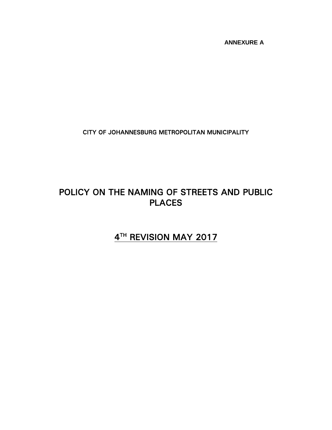**ANNEXURE A**

CITY OF JOHANNESBURG METROPOLITAN MUNICIPALITY

# POLICY ON THE NAMING OF STREETS AND PUBLIC PLACES

# 4 TH REVISION MAY 2017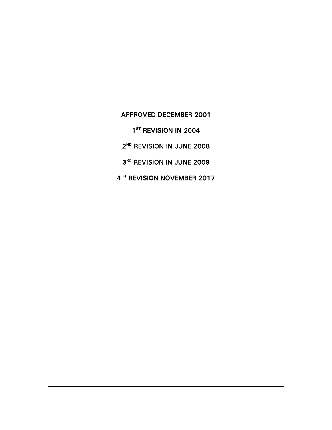APPROVED DECEMBER 2001 ST REVISION IN 2004 ND REVISION IN JUNE 2008 RD REVISION IN JUNE 2009 TH REVISION NOVEMBER 2017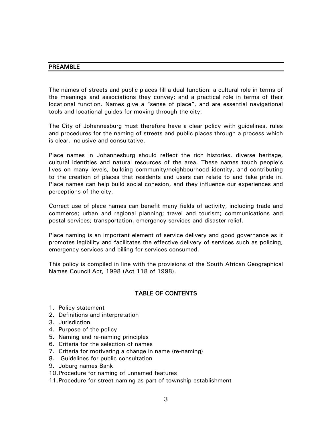#### PREAMBLE

The names of streets and public places fill a dual function: a cultural role in terms of the meanings and associations they convey; and a practical role in terms of their locational function. Names give a "sense of place", and are essential navigational tools and locational guides for moving through the city.

The City of Johannesburg must therefore have a clear policy with guidelines, rules and procedures for the naming of streets and public places through a process which is clear, inclusive and consultative.

Place names in Johannesburg should reflect the rich histories, diverse heritage, cultural identities and natural resources of the area. These names touch people's lives on many levels, building community/neighbourhood identity, and contributing to the creation of places that residents and users can relate to and take pride in. Place names can help build social cohesion, and they influence our experiences and perceptions of the city.

Correct use of place names can benefit many fields of activity, including trade and commerce; urban and regional planning; travel and tourism; communications and postal services; transportation, emergency services and disaster relief.

Place naming is an important element of service delivery and good governance as it promotes legibility and facilitates the effective delivery of services such as policing, emergency services and billing for services consumed.

This policy is compiled in line with the provisions of the South African Geographical Names Council Act, 1998 (Act 118 of 1998).

## TABLE OF CONTENTS

- 1. Policy statement
- 2. Definitions and interpretation
- 3. Jurisdiction
- 4. Purpose of the policy
- 5. Naming and re-naming principles
- 6. Criteria for the selection of names
- 7. Criteria for motivating a change in name (re-naming)
- 8. Guidelines for public consultation
- 9. Joburg names Bank
- 10.Procedure for naming of unnamed features
- 11.Procedure for street naming as part of township establishment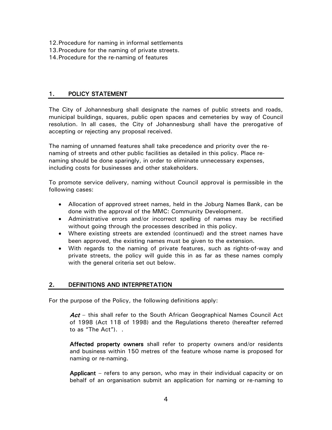- 12.Procedure for naming in informal settlements
- 13.Procedure for the naming of private streets.
- 14.Procedure for the re-naming of features

## 1. POLICY STATEMENT

The City of Johannesburg shall designate the names of public streets and roads, municipal buildings, squares, public open spaces and cemeteries by way of Council resolution. In all cases, the City of Johannesburg shall have the prerogative of accepting or rejecting any proposal received.

The naming of unnamed features shall take precedence and priority over the renaming of streets and other public facilities as detailed in this policy. Place renaming should be done sparingly, in order to eliminate unnecessary expenses, including costs for businesses and other stakeholders.

To promote service delivery, naming without Council approval is permissible in the following cases:

- Allocation of approved street names, held in the Joburg Names Bank, can be done with the approval of the MMC: Community Development.
- Administrative errors and/or incorrect spelling of names may be rectified without going through the processes described in this policy.
- Where existing streets are extended (continued) and the street names have been approved, the existing names must be given to the extension.
- With regards to the naming of private features, such as rights-of-way and private streets, the policy will guide this in as far as these names comply with the general criteria set out below.

## 2. DEFINITIONS AND INTERPRETATION

For the purpose of the Policy, the following definitions apply:

Act – this shall refer to the South African Geographical Names Council Act of 1998 (Act 118 of 1998) and the Regulations thereto (hereafter referred to as "The Act"). .

Affected property owners shall refer to property owners and/or residents and business within 150 metres of the feature whose name is proposed for naming or re-naming.

Applicant – refers to any person, who may in their individual capacity or on behalf of an organisation submit an application for naming or re-naming to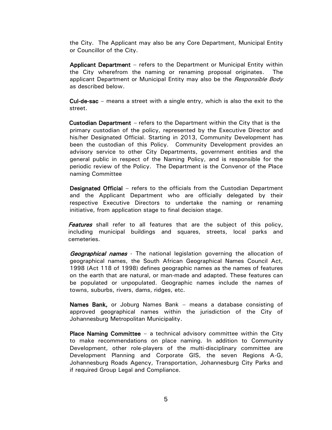the City. The Applicant may also be any Core Department, Municipal Entity or Councillor of the City.

Applicant Department – refers to the Department or Municipal Entity within the City wherefrom the naming or renaming proposal originates. The applicant Department or Municipal Entity may also be the Responsible Body as described below.

Cul-de-sac – means a street with a single entry, which is also the exit to the street.

 Custodian Department – refers to the Department within the City that is the primary custodian of the policy, represented by the Executive Director and his/her Designated Official. Starting in 2013, Community Development has been the custodian of this Policy. Community Development provides an advisory service to other City Departments, government entities and the general public in respect of the Naming Policy, and is responsible for the periodic review of the Policy. The Department is the Convenor of the Place naming Committee

Designated Official – refers to the officials from the Custodian Department and the Applicant Department who are officially delegated by their respective Executive Directors to undertake the naming or renaming initiative, from application stage to final decision stage.

**Features** shall refer to all features that are the subject of this policy, including municipal buildings and squares, streets, local parks and cemeteries.

**Geographical names** - The national legislation governing the allocation of geographical names, the South African Geographical Names Council Act, 1998 (Act 118 of 1998) defines geographic names as the names of features on the earth that are natural, or man-made and adapted. These features can be populated or unpopulated. Geographic names include the names of towns, suburbs, rivers, dams, ridges, etc.

Names Bank, or Joburg Names Bank – means a database consisting of approved geographical names within the jurisdiction of the City of Johannesburg Metropolitan Municipality.

**Place Naming Committee** – a technical advisory committee within the City to make recommendations on place naming. In addition to Community Development, other role-players of the multi-disciplinary committee are Development Planning and Corporate GIS, the seven Regions A-G, Johannesburg Roads Agency, Transportation, Johannesburg City Parks and if required Group Legal and Compliance.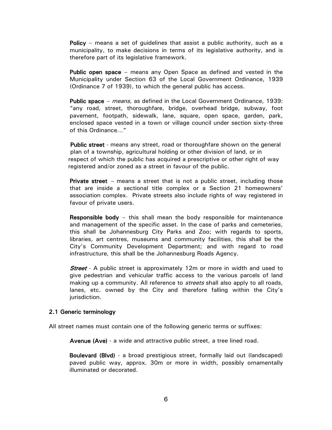Policy – means a set of guidelines that assist a public authority, such as a municipality, to make decisions in terms of its legislative authority, and is therefore part of its legislative framework.

Public open space – means any Open Space as defined and vested in the Municipality under Section 63 of the Local Government Ordinance, 1939 (Ordinance 7 of 1939), to which the general public has access.

Public space – *means*, as defined in the Local Government Ordinance, 1939: "any road, street, thoroughfare, bridge, overhead bridge, subway, foot pavement, footpath, sidewalk, lane, square, open space, garden, park, enclosed space vested in a town or village council under section sixty-three of this Ordinance…"

 Public street - means any street, road or thoroughfare shown on the general plan of a township, agricultural holding or other division of land, or in respect of which the public has acquired a prescriptive or other right of way registered and/or zoned as a street in favour of the public.

**Private street** – means a street that is not a public street, including those that are inside a sectional title complex or a Section 21 homeowners' association complex. Private streets also include rights of way registered in favour of private users.

Responsible body – this shall mean the body responsible for maintenance and management of the specific asset. In the case of parks and cemeteries, this shall be Johannesburg City Parks and Zoo; with regards to sports, libraries, art centres, museums and community facilities, this shall be the City's Community Development Department; and with regard to road infrastructure, this shall be the Johannesburg Roads Agency.

**Street** - A public street is approximately 12m or more in width and used to give pedestrian and vehicular traffic access to the various parcels of land making up a community. All reference to *streets* shall also apply to all roads, lanes, etc. owned by the City and therefore falling within the City's jurisdiction.

#### 2.1 Generic terminology

All street names must contain one of the following generic terms or suffixes:

Avenue (Ave) - a wide and attractive public street, a tree lined road.

Boulevard (Blvd) - a broad prestigious street, formally laid out (landscaped) paved public way, approx. 30m or more in width, possibly ornamentally illuminated or decorated.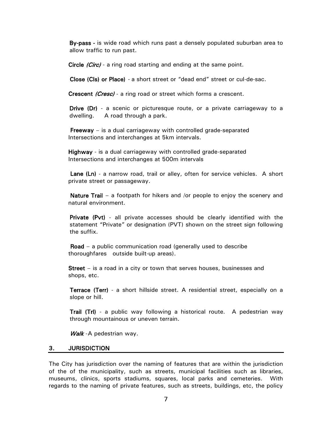By-pass - is wide road which runs past a densely populated suburban area to allow traffic to run past.

Circle *(Circ)* - a ring road starting and ending at the same point.

Close (Cls) or Place) - a short street or "dead end" street or cul-de-sac.

Crescent (Cresc) - a ring road or street which forms a crescent.

Drive (Dr) - a scenic or picturesque route, or a private carriageway to a dwelling. A road through a park.

Freeway – is a dual carriageway with controlled grade-separated Intersections and interchanges at 5km intervals.

 Highway - is a dual carriageway with controlled grade-separated Intersections and interchanges at 500m intervals

Lane (Ln) - a narrow road, trail or alley, often for service vehicles. A short private street or passageway.

 Nature Trail – a footpath for hikers and /or people to enjoy the scenery and natural environment.

Private (Pvt) - all private accesses should be clearly identified with the statement "Private" or designation (PVT) shown on the street sign following the suffix.

 Road – a public communication road (generally used to describe thoroughfares outside built-up areas).

Street – is a road in a city or town that serves houses, businesses and shops, etc.

Terrace (Terr) - a short hillside street. A residential street, especially on a slope or hill.

Trail (Trl) - a public way following a historical route. A pedestrian way through mountainous or uneven terrain.

Walk - A pedestrian way.

#### 3. JURISDICTION

The City has jurisdiction over the naming of features that are within the jurisdiction of the of the municipality, such as streets, municipal facilities such as libraries, museums, clinics, sports stadiums, squares, local parks and cemeteries. With regards to the naming of private features, such as streets, buildings, etc, the policy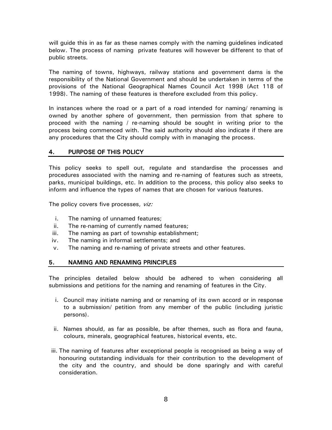will guide this in as far as these names comply with the naming guidelines indicated below. The process of naming private features will however be different to that of public streets.

The naming of towns, highways, railway stations and government dams is the responsibility of the National Government and should be undertaken in terms of the provisions of the National Geographical Names Council Act 1998 (Act 118 of 1998). The naming of these features is therefore excluded from this policy.

In instances where the road or a part of a road intended for naming/ renaming is owned by another sphere of government, then permission from that sphere to proceed with the naming / re-naming should be sought in writing prior to the process being commenced with. The said authority should also indicate if there are any procedures that the City should comply with in managing the process.

## 4. PURPOSE OF THIS POLICY

This policy seeks to spell out, regulate and standardise the processes and procedures associated with the naming and re-naming of features such as streets, parks, municipal buildings, etc. In addition to the process, this policy also seeks to inform and influence the types of names that are chosen for various features.

The policy covers five processes, viz:

- i. The naming of unnamed features;
- ii. The re-naming of currently named features;
- iii. The naming as part of township establishment;
- iv. The naming in informal settlements; and
- v. The naming and re-naming of private streets and other features.

## 5. NAMING AND RENAMING PRINCIPLES

The principles detailed below should be adhered to when considering all submissions and petitions for the naming and renaming of features in the City.

- i. Council may initiate naming and or renaming of its own accord or in response to a submission/ petition from any member of the public (including juristic persons).
- ii. Names should, as far as possible, be after themes, such as flora and fauna, colours, minerals, geographical features, historical events, etc.
- iii. The naming of features after exceptional people is recognised as being a way of honouring outstanding individuals for their contribution to the development of the city and the country, and should be done sparingly and with careful consideration.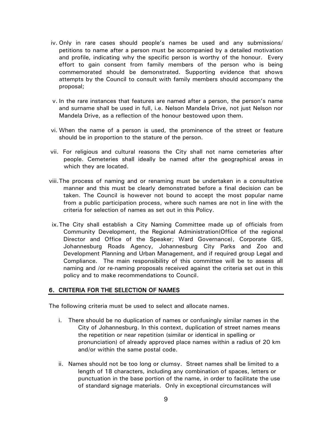- iv. Only in rare cases should people's names be used and any submissions/ petitions to name after a person must be accompanied by a detailed motivation and profile, indicating why the specific person is worthy of the honour. Every effort to gain consent from family members of the person who is being commemorated should be demonstrated. Supporting evidence that shows attempts by the Council to consult with family members should accompany the proposal;
- v. In the rare instances that features are named after a person, the person's name and surname shall be used in full, i.e. Nelson Mandela Drive, not just Nelson nor Mandela Drive, as a reflection of the honour bestowed upon them.
- vi. When the name of a person is used, the prominence of the street or feature should be in proportion to the stature of the person.
- vii. For religious and cultural reasons the City shall not name cemeteries after people. Cemeteries shall ideally be named after the geographical areas in which they are located.
- viii.The process of naming and or renaming must be undertaken in a consultative manner and this must be clearly demonstrated before a final decision can be taken. The Council is however not bound to accept the most popular name from a public participation process, where such names are not in line with the criteria for selection of names as set out in this Policy.
- ix.The City shall establish a City Naming Committee made up of officials from Community Development, the Regional Administration(Office of the regional Director and Office of the Speaker; Ward Governance), Corporate GIS, Johannesburg Roads Agency, Johannesburg City Parks and Zoo and Development Planning and Urban Management, and if required group Legal and Compliance. The main responsibility of this committee will be to assess all naming and /or re-naming proposals received against the criteria set out in this policy and to make recommendations to Council.

#### 6. CRITERIA FOR THE SELECTION OF NAMES

The following criteria must be used to select and allocate names.

- i. There should be no duplication of names or confusingly similar names in the City of Johannesburg. In this context, duplication of street names means the repetition or near repetition (similar or identical in spelling or pronunciation) of already approved place names within a radius of 20 km and/or within the same postal code.
- ii. Names should not be too long or clumsy. Street names shall be limited to a length of 18 characters, including any combination of spaces, letters or punctuation in the base portion of the name, in order to facilitate the use of standard signage materials. Only in exceptional circumstances will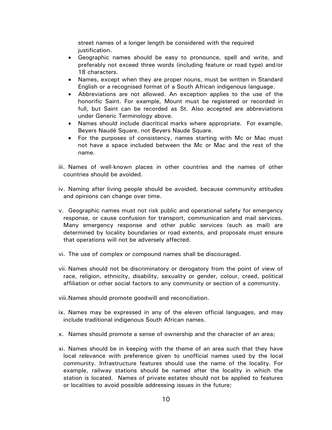street names of a longer length be considered with the required justification.

- Geographic names should be easy to pronounce, spell and write, and preferably not exceed three words (including feature or road type) and/or 18 characters.
- Names, except when they are proper nouns, must be written in Standard English or a recognised format of a South African indigenous language.
- Abbreviations are not allowed. An exception applies to the use of the honorific Saint. For example, Mount must be registered or recorded in full, but Saint can be recorded as St. Also accepted are abbreviations under Generic Terminology above.
- Names should include diacritical marks where appropriate. For example, Beyers Naudé Square, not Beyers Naude Square.
- For the purposes of consistency, names starting with Mc or Mac must not have a space included between the Mc or Mac and the rest of the name.
- iii. Names of well-known places in other countries and the names of other countries should be avoided.
- iv. Naming after living people should be avoided, because community attitudes and opinions can change over time.
- v. Geographic names must not risk public and operational safety for emergency response, or cause confusion for transport, communication and mail services. Many emergency response and other public services (such as mail) are determined by locality boundaries or road extents, and proposals must ensure that operations will not be adversely affected.
- vi. The use of complex or compound names shall be discouraged.
- vii. Names should not be discriminatory or derogatory from the point of view of race, religion, ethnicity, disability, sexuality or gender, colour, creed, political affiliation or other social factors to any community or section of a community.
- viii.Names should promote goodwill and reconciliation.
- ix. Names may be expressed in any of the eleven official languages, and may include traditional indigenous South African names.
- x. Names should promote a sense of ownership and the character of an area;
- xi. Names should be in keeping with the theme of an area such that they have local relevance with preference given to unofficial names used by the local community. Infrastructure features should use the name of the locality. For example, railway stations should be named after the locality in which the station is located. Names of private estates should not be applied to features or localities to avoid possible addressing issues in the future;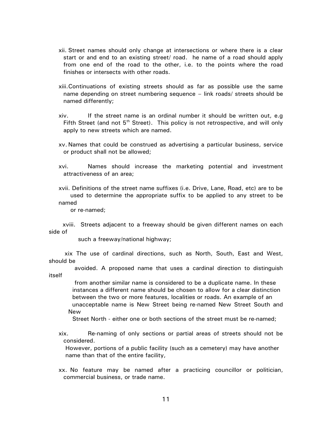- xii. Street names should only change at intersections or where there is a clear start or and end to an existing street/ road. he name of a road should apply from one end of the road to the other, i.e. to the points where the road finishes or intersects with other roads.
- xiii.Continuations of existing streets should as far as possible use the same name depending on street numbering sequence – link roads/ streets should be named differently;
- xiv. If the street name is an ordinal number it should be written out, e.g Fifth Street (and not  $5<sup>th</sup>$  Street). This policy is not retrospective, and will only apply to new streets which are named.
- xv. Names that could be construed as advertising a particular business, service or product shall not be allowed;
- xvi. Names should increase the marketing potential and investment attractiveness of an area;
- xvii. Definitions of the street name suffixes (i.e. Drive, Lane, Road, etc) are to be used to determine the appropriate suffix to be applied to any street to be named

or re-named;

 xviii. Streets adjacent to a freeway should be given different names on each side of

such a freeway/national highway;

 xix The use of cardinal directions, such as North, South, East and West, should be

 avoided. A proposed name that uses a cardinal direction to distinguish itself

 from another similar name is considered to be a duplicate name. In these instances a different name should be chosen to allow for a clear distinction between the two or more features, localities or roads. An example of an unacceptable name is New Street being re-named New Street South and New

Street North - either one or both sections of the street must be re-named;

xix. Re-naming of only sections or partial areas of streets should not be considered.

However, portions of a public facility (such as a cemetery) may have another name than that of the entire facility,

xx. No feature may be named after a practicing councillor or politician, commercial business, or trade name.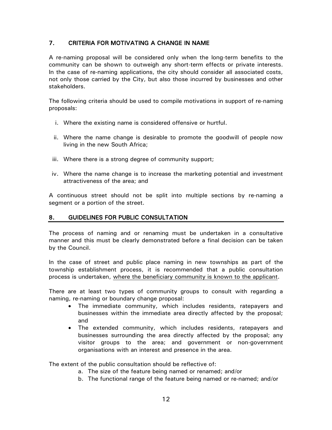# 7. CRITERIA FOR MOTIVATING A CHANGE IN NAME

A re-naming proposal will be considered only when the long-term benefits to the community can be shown to outweigh any short-term effects or private interests. In the case of re-naming applications, the city should consider all associated costs, not only those carried by the City, but also those incurred by businesses and other stakeholders.

The following criteria should be used to compile motivations in support of re-naming proposals:

- i. Where the existing name is considered offensive or hurtful.
- ii. Where the name change is desirable to promote the goodwill of people now living in the new South Africa;
- iii. Where there is a strong degree of community support;
- iv. Where the name change is to increase the marketing potential and investment attractiveness of the area; and

A continuous street should not be split into multiple sections by re-naming a segment or a portion of the street.

## 8. GUIDELINES FOR PUBLIC CONSULTATION

The process of naming and or renaming must be undertaken in a consultative manner and this must be clearly demonstrated before a final decision can be taken by the Council.

In the case of street and public place naming in new townships as part of the township establishment process, it is recommended that a public consultation process is undertaken, where the beneficiary community is known to the applicant.

There are at least two types of community groups to consult with regarding a naming, re-naming or boundary change proposal:

- The immediate community, which includes residents, ratepayers and businesses within the immediate area directly affected by the proposal; and
- The extended community, which includes residents, ratepayers and businesses surrounding the area directly affected by the proposal; any visitor groups to the area; and government or non-government organisations with an interest and presence in the area.

The extent of the public consultation should be reflective of:

- a. The size of the feature being named or renamed; and/or
- b. The functional range of the feature being named or re-named; and/or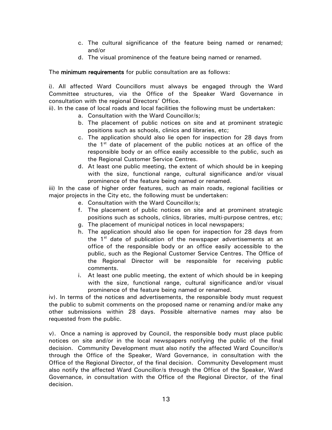- c. The cultural significance of the feature being named or renamed; and/or
- d. The visual prominence of the feature being named or renamed.

The minimum requirements for public consultation are as follows:

i). All affected Ward Councillors must always be engaged through the Ward Committee structures, via the Office of the Speaker Ward Governance in consultation with the regional Directors' Office.

ii). In the case of local roads and local facilities the following must be undertaken:

- a. Consultation with the Ward Councillor/s;
- b. The placement of public notices on site and at prominent strategic positions such as schools, clinics and libraries, etc;
- c. The application should also lie open for inspection for 28 days from the  $1<sup>st</sup>$  date of placement of the public notices at an office of the responsible body or an office easily accessible to the public, such as the Regional Customer Service Centres.
- d. At least one public meeting, the extent of which should be in keeping with the size, functional range, cultural significance and/or visual prominence of the feature being named or renamed.

iii) In the case of higher order features, such as main roads, regional facilities or major projects in the City etc, the following must be undertaken:

- e. Consultation with the Ward Councillor/s;
- f. The placement of public notices on site and at prominent strategic positions such as schools, clinics, libraries, multi-purpose centres, etc;
- g. The placement of municipal notices in local newspapers;
- h. The application should also lie open for inspection for 28 days from the  $1<sup>st</sup>$  date of publication of the newspaper advertisements at an office of the responsible body or an office easily accessible to the public, such as the Regional Customer Service Centres. The Office of the Regional Director will be responsible for receiving public comments.
- i. At least one public meeting, the extent of which should be in keeping with the size, functional range, cultural significance and/or visual prominence of the feature being named or renamed.

iv). In terms of the notices and advertisements, the responsible body must request the public to submit comments on the proposed name or renaming and/or make any other submissions within 28 days. Possible alternative names may also be requested from the public.

v). Once a naming is approved by Council, the responsible body must place public notices on site and/or in the local newspapers notifying the public of the final decision. Community Development must also notify the affected Ward Councillor/s through the Office of the Speaker, Ward Governance, in consultation with the Office of the Regional Director, of the final decision. Community Development must also notify the affected Ward Councillor/s through the Office of the Speaker, Ward Governance, in consultation with the Office of the Regional Director, of the final decision.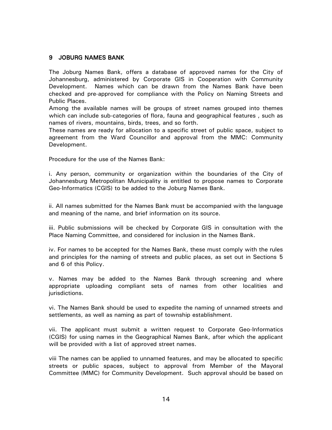## 9 JOBURG NAMES BANK

The Joburg Names Bank, offers a database of approved names for the City of Johannesburg, administered by Corporate GIS in Cooperation with Community Development. Names which can be drawn from the Names Bank have been checked and pre-approved for compliance with the Policy on Naming Streets and Public Places.

Among the available names will be groups of street names grouped into themes which can include sub-categories of flora, fauna and geographical features , such as names of rivers, mountains, birds, trees, and so forth.

These names are ready for allocation to a specific street of public space, subject to agreement from the Ward Councillor and approval from the MMC: Community Development.

Procedure for the use of the Names Bank:

i. Any person, community or organization within the boundaries of the City of Johannesburg Metropolitan Municipality is entitled to propose names to Corporate Geo-Informatics (CGIS) to be added to the Joburg Names Bank.

ii. All names submitted for the Names Bank must be accompanied with the language and meaning of the name, and brief information on its source.

iii. Public submissions will be checked by Corporate GIS in consultation with the Place Naming Committee, and considered for inclusion in the Names Bank.

iv. For names to be accepted for the Names Bank, these must comply with the rules and principles for the naming of streets and public places, as set out in Sections 5 and 6 of this Policy.

v. Names may be added to the Names Bank through screening and where appropriate uploading compliant sets of names from other localities and jurisdictions.

vi. The Names Bank should be used to expedite the naming of unnamed streets and settlements, as well as naming as part of township establishment.

vii. The applicant must submit a written request to Corporate Geo-Informatics (CGIS) for using names in the Geographical Names Bank, after which the applicant will be provided with a list of approved street names.

viii The names can be applied to unnamed features, and may be allocated to specific streets or public spaces, subject to approval from Member of the Mayoral Committee (MMC) for Community Development. Such approval should be based on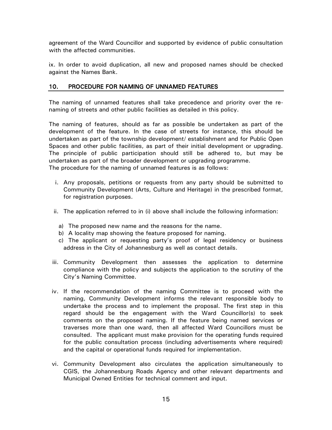agreement of the Ward Councillor and supported by evidence of public consultation with the affected communities.

ix. In order to avoid duplication, all new and proposed names should be checked against the Names Bank.

## 10. PROCEDURE FOR NAMING OF UNNAMED FEATURES

The naming of unnamed features shall take precedence and priority over the renaming of streets and other public facilities as detailed in this policy.

The naming of features, should as far as possible be undertaken as part of the development of the feature. In the case of streets for instance, this should be undertaken as part of the township development/ establishment and for Public Open Spaces and other public facilities, as part of their initial development or upgrading. The principle of public participation should still be adhered to, but may be undertaken as part of the broader development or upgrading programme. The procedure for the naming of unnamed features is as follows:

- i. Any proposals, petitions or requests from any party should be submitted to Community Development (Arts, Culture and Heritage) in the prescribed format, for registration purposes.
- ii. The application referred to in (i) above shall include the following information:
	- a) The proposed new name and the reasons for the name.
	- b) A locality map showing the feature proposed for naming.
	- c) The applicant or requesting party's proof of legal residency or business address in the City of Johannesburg as well as contact details.
- iii. Community Development then assesses the application to determine compliance with the policy and subjects the application to the scrutiny of the City's Naming Committee.
- iv. If the recommendation of the naming Committee is to proceed with the naming, Community Development informs the relevant responsible body to undertake the process and to implement the proposal. The first step in this regard should be the engagement with the Ward Councillor(s) to seek comments on the proposed naming. If the feature being named services or traverses more than one ward, then all affected Ward Councillors must be consulted. The applicant must make provision for the operating funds required for the public consultation process (including advertisements where required) and the capital or operational funds required for implementation.
- vi. Community Development also circulates the application simultaneously to CGIS, the Johannesburg Roads Agency and other relevant departments and Municipal Owned Entities for technical comment and input.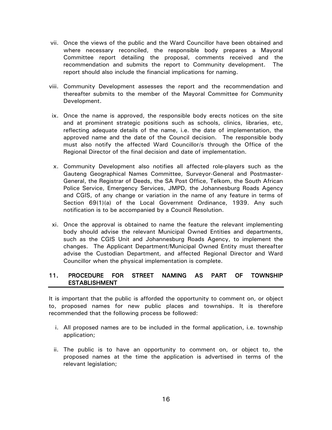- vii. Once the views of the public and the Ward Councillor have been obtained and where necessary reconciled, the responsible body prepares a Mayoral Committee report detailing the proposal, comments received and the recommendation and submits the report to Community development. The report should also include the financial implications for naming.
- viii. Community Development assesses the report and the recommendation and thereafter submits to the member of the Mayoral Committee for Community Development.
- ix. Once the name is approved, the responsible body erects notices on the site and at prominent strategic positions such as schools, clinics, libraries, etc, reflecting adequate details of the name, i.e. the date of implementation, the approved name and the date of the Council decision. The responsible body must also notify the affected Ward Councillor/s through the Office of the Regional Director of the final decision and date of implementation.
- x. Community Development also notifies all affected role-players such as the Gauteng Geographical Names Committee, Surveyor-General and Postmaster-General, the Registrar of Deeds, the SA Post Office, Telkom, the South African Police Service, Emergency Services, JMPD, the Johannesburg Roads Agency and CGIS, of any change or variation in the name of any feature in terms of Section 69(1)(a) of the Local Government Ordinance, 1939. Any such notification is to be accompanied by a Council Resolution.
- xi. Once the approval is obtained to name the feature the relevant implementing body should advise the relevant Municipal Owned Entities and departments, such as the CGIS Unit and Johannesburg Roads Agency, to implement the changes. The Applicant Department/Municipal Owned Entity must thereafter advise the Custodian Department, and affected Regional Director and Ward Councillor when the physical implementation is complete.

## 11. PROCEDURE FOR STREET NAMING AS PART OF TOWNSHIP ESTABLISHMENT

It is important that the public is afforded the opportunity to comment on, or object to, proposed names for new public places and townships. It is therefore recommended that the following process be followed:

- i. All proposed names are to be included in the formal application, i.e. township application;
- ii. The public is to have an opportunity to comment on, or object to, the proposed names at the time the application is advertised in terms of the relevant legislation;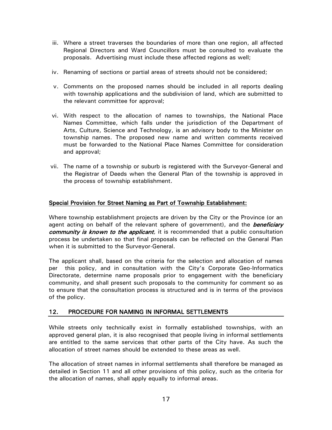- iii. Where a street traverses the boundaries of more than one region, all affected Regional Directors and Ward Councillors must be consulted to evaluate the proposals. Advertising must include these affected regions as well;
- iv. Renaming of sections or partial areas of streets should not be considered;
- v. Comments on the proposed names should be included in all reports dealing with township applications and the subdivision of land, which are submitted to the relevant committee for approval;
- vi. With respect to the allocation of names to townships, the National Place Names Committee, which falls under the jurisdiction of the Department of Arts, Culture, Science and Technology, is an advisory body to the Minister on township names. The proposed new name and written comments received must be forwarded to the National Place Names Committee for consideration and approval;
- vii. The name of a township or suburb is registered with the Surveyor-General and the Registrar of Deeds when the General Plan of the township is approved in the process of township establishment.

## Special Provision for Street Naming as Part of Township Establishment:

Where township establishment projects are driven by the City or the Province (or an agent acting on behalf of the relevant sphere of government), and the *beneficiary* community is known to the applicant, it is recommended that a public consultation process be undertaken so that final proposals can be reflected on the General Plan when it is submitted to the Surveyor-General.

The applicant shall, based on the criteria for the selection and allocation of names per this policy, and in consultation with the City's Corporate Geo-Informatics Directorate, determine name proposals prior to engagement with the beneficiary community, and shall present such proposals to the community for comment so as to ensure that the consultation process is structured and is in terms of the provisos of the policy.

#### 12. PROCEDURE FOR NAMING IN INFORMAL SETTLEMENTS

While streets only technically exist in formally established townships, with an approved general plan, it is also recognised that people living in informal settlements are entitled to the same services that other parts of the City have. As such the allocation of street names should be extended to these areas as well.

The allocation of street names in informal settlements shall therefore be managed as detailed in Section 11 and all other provisions of this policy, such as the criteria for the allocation of names, shall apply equally to informal areas.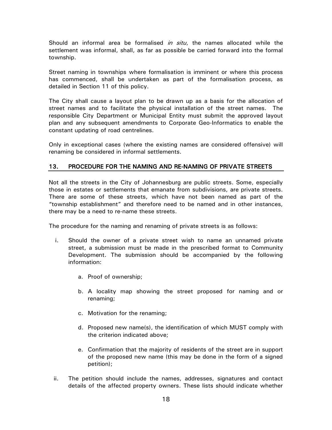Should an informal area be formalised *in situ*, the names allocated while the settlement was informal, shall, as far as possible be carried forward into the formal township.

Street naming in townships where formalisation is imminent or where this process has commenced, shall be undertaken as part of the formalisation process, as detailed in Section 11 of this policy.

The City shall cause a layout plan to be drawn up as a basis for the allocation of street names and to facilitate the physical installation of the street names. The responsible City Department or Municipal Entity must submit the approved layout plan and any subsequent amendments to Corporate Geo-Informatics to enable the constant updating of road centrelines.

Only in exceptional cases (where the existing names are considered offensive) will renaming be considered in informal settlements.

# 13. PROCEDURE FOR THE NAMING AND RE-NAMING OF PRIVATE STREETS

Not all the streets in the City of Johannesburg are public streets. Some, especially those in estates or settlements that emanate from subdivisions, are private streets. There are some of these streets, which have not been named as part of the "township establishment" and therefore need to be named and in other instances, there may be a need to re-name these streets.

The procedure for the naming and renaming of private streets is as follows:

- i. Should the owner of a private street wish to name an unnamed private street, a submission must be made in the prescribed format to Community Development. The submission should be accompanied by the following information:
	- a. Proof of ownership;
	- b. A locality map showing the street proposed for naming and or renaming;
	- c. Motivation for the renaming;
	- d. Proposed new name(s), the identification of which MUST comply with the criterion indicated above;
	- e. Confirmation that the majority of residents of the street are in support of the proposed new name (this may be done in the form of a signed petition);
- ii. The petition should include the names, addresses, signatures and contact details of the affected property owners. These lists should indicate whether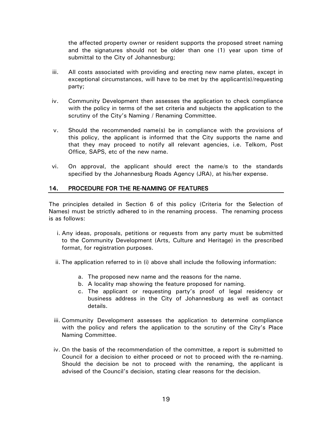the affected property owner or resident supports the proposed street naming and the signatures should not be older than one (1) year upon time of submittal to the City of Johannesburg;

- iii. All costs associated with providing and erecting new name plates, except in exceptional circumstances, will have to be met by the applicant(s)/requesting party;
- iv. Community Development then assesses the application to check compliance with the policy in terms of the set criteria and subjects the application to the scrutiny of the City's Naming / Renaming Committee.
- v. Should the recommended name(s) be in compliance with the provisions of this policy, the applicant is informed that the City supports the name and that they may proceed to notify all relevant agencies, i.e. Telkom, Post Office, SAPS, etc of the new name.
- vi. On approval, the applicant should erect the name/s to the standards specified by the Johannesburg Roads Agency (JRA), at his/her expense.

## 14. PROCEDURE FOR THE RE-NAMING OF FEATURES

The principles detailed in Section 6 of this policy (Criteria for the Selection of Names) must be strictly adhered to in the renaming process. The renaming process is as follows:

- i. Any ideas, proposals, petitions or requests from any party must be submitted to the Community Development (Arts, Culture and Heritage) in the prescribed format, for registration purposes.
- ii. The application referred to in (i) above shall include the following information:
	- a. The proposed new name and the reasons for the name.
	- b. A locality map showing the feature proposed for naming.
	- c. The applicant or requesting party's proof of legal residency or business address in the City of Johannesburg as well as contact details.
- iii. Community Development assesses the application to determine compliance with the policy and refers the application to the scrutiny of the City's Place Naming Committee.
- iv. On the basis of the recommendation of the committee, a report is submitted to Council for a decision to either proceed or not to proceed with the re-naming. Should the decision be not to proceed with the renaming, the applicant is advised of the Council's decision, stating clear reasons for the decision.